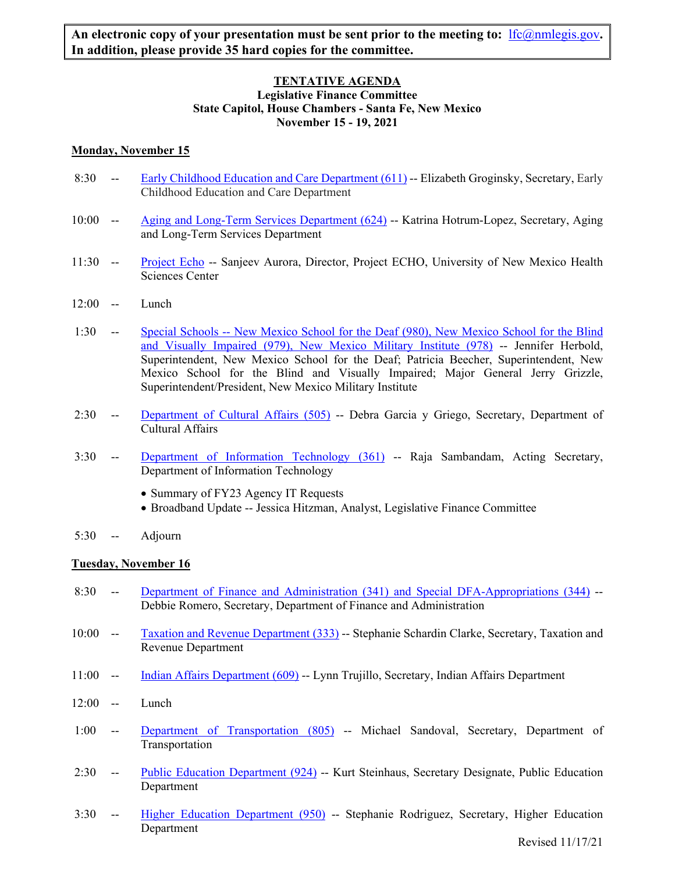## **TENTATIVE AGENDA Legislative Finance Committee State Capitol, House Chambers - Santa Fe, New Mexico November 15 - 19, 2021**

# **Monday, November 15**

- 8:30 -- Early Childhood Education and Care Department (611) -- Elizabeth Groginsky, Secretary, Early Childhood Education and Care Department
- 10:00 -- Aging and Long-Term Services Department (624) -- Katrina Hotrum-Lopez, Secretary, Aging and Long-Term Services Department
- 11:30 -- Project Echo -- Sanjeev Aurora, Director, Project ECHO, University of New Mexico Health Sciences Center
- 12:00 -- Lunch
- 1:30 -- Special Schools -- New Mexico School for the Deaf (980), New Mexico School for the Blind and Visually Impaired (979), New Mexico Military Institute (978) -- Jennifer Herbold, Superintendent, New Mexico School for the Deaf; Patricia Beecher, Superintendent, New Mexico School for the Blind and Visually Impaired; Major General Jerry Grizzle, Superintendent/President, New Mexico Military Institute
- 2:30 -- Department of Cultural Affairs (505) -- Debra Garcia y Griego, Secretary, Department of Cultural Affairs
- 3:30 -- Department of Information Technology (361) -- Raja Sambandam, Acting Secretary, Department of Information Technology
	- Summary of FY23 Agency IT Requests
	- Broadband Update -- Jessica Hitzman, Analyst, Legislative Finance Committee
- 5:30 -- Adjourn

## **Tuesday, November 16**

- 8:30 -- Department of Finance and Administration (341) and Special DFA-Appropriations (344) -- Debbie Romero, Secretary, Department of Finance and Administration
- 10:00 -- Taxation and Revenue Department (333) -- Stephanie Schardin Clarke, Secretary, Taxation and Revenue Department
- 11:00 -- Indian Affairs Department (609) -- Lynn Trujillo, Secretary, Indian Affairs Department
- 12:00 -- Lunch
- 1:00 -- Department of Transportation (805) -- Michael Sandoval, Secretary, Department of Transportation
- 2:30 -- Public Education Department (924) -- Kurt Steinhaus, Secretary Designate, Public Education Department
- 3:30 -- Higher Education Department (950) -- Stephanie Rodriguez, Secretary, Higher Education Department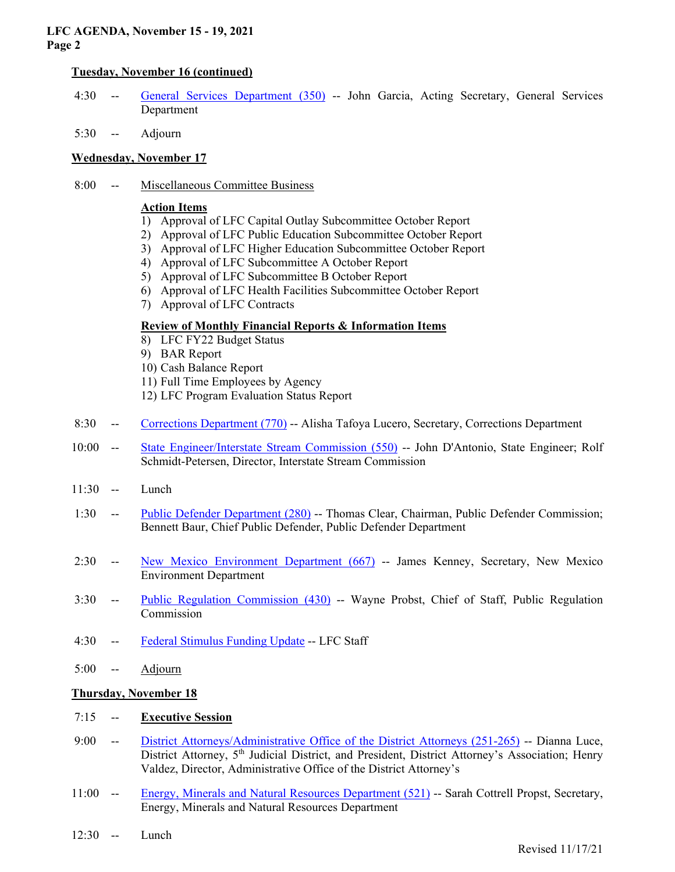## **LFC AGENDA, November 15 - 19, 2021 Page 2**

## **Tuesday, November 16 (continued)**

- 4:30 -- General Services Department (350) -- John Garcia, Acting Secretary, General Services Department
- 5:30 -- Adjourn

## **Wednesday, November 17**

8:00 -- Miscellaneous Committee Business

#### **Action Items**

- 1) Approval of LFC Capital Outlay Subcommittee October Report
- 2) Approval of LFC Public Education Subcommittee October Report
- 3) Approval of LFC Higher Education Subcommittee October Report
- 4) Approval of LFC Subcommittee A October Report
- 5) Approval of LFC Subcommittee B October Report
- 6) Approval of LFC Health Facilities Subcommittee October Report
- 7) Approval of LFC Contracts

## **Review of Monthly Financial Reports & Information Items**

- 8) LFC FY22 Budget Status
- 9) BAR Report
- 10) Cash Balance Report
- 11) Full Time Employees by Agency
- 12) LFC Program Evaluation Status Report
- 8:30 -- Corrections Department (770) -- Alisha Tafoya Lucero, Secretary, Corrections Department
- 10:00 -- State Engineer/Interstate Stream Commission (550) -- John D'Antonio, State Engineer; Rolf Schmidt-Petersen, Director, Interstate Stream Commission
- $11:30$  -- Lunch
- 1:30 -- Public Defender Department (280) -- Thomas Clear, Chairman, Public Defender Commission; Bennett Baur, Chief Public Defender, Public Defender Department
- 2:30 -- New Mexico Environment Department (667) -- James Kenney, Secretary, New Mexico Environment Department
- 3:30 -- Public Regulation Commission (430) -- Wayne Probst, Chief of Staff, Public Regulation Commission
- 4:30 -- Federal Stimulus Funding Update -- LFC Staff
- 5:00 -- Adjourn

## **Thursday, November 18**

## 7:15 -- **Executive Session**

- 9:00 -- District Attorneys/Administrative Office of the District Attorneys (251-265) -- Dianna Luce, District Attorney, 5<sup>th</sup> Judicial District, and President, District Attorney's Association; Henry Valdez, Director, Administrative Office of the District Attorney's
- 11:00 -- Energy, Minerals and Natural Resources Department (521) -- Sarah Cottrell Propst, Secretary, Energy, Minerals and Natural Resources Department
- 12:30 -- Lunch